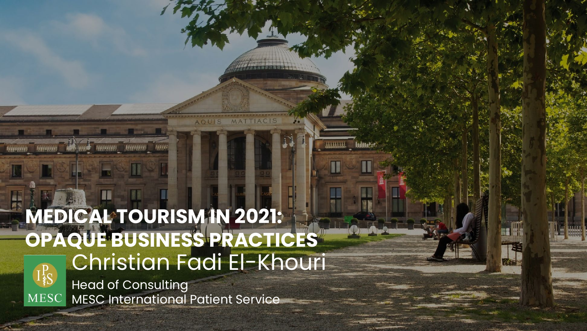# Christian Fadi El-Khouri **MEDICAL TOURISM IN 2021: OPAQUE BUSINESS PRACTICES**

**Refere** 

RECEIVED RECEIVED

transmo moment realistical

**MASSANA** 

Head of Consulting MESC International Patient Service **MESC**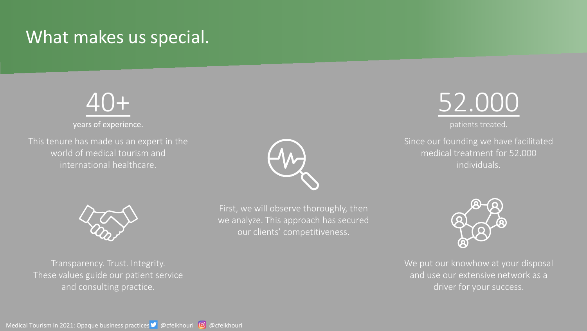## What makes us special.



years of experience.

This tenure has made us an expert in the world of medical tourism and international healthcare.







patients treated.

Since our founding we have facilitated medical treatment for 52.000 individuals.



Transparency. Trust. Integrity. These values guide our patient service and consulting practice.

First, we will observe thoroughly, then we analyze. This approach has secured our clients' competitiveness.



We put our knowhow at your disposal and use our extensive network as a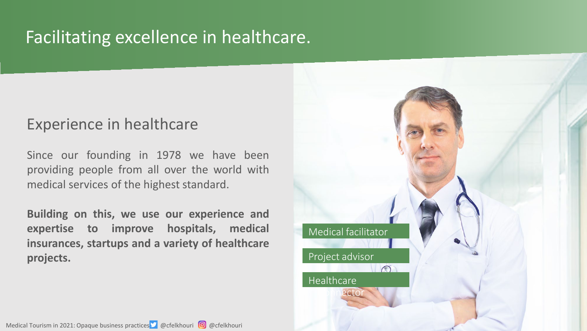## Facilitating excellence in healthcare.

#### Experience in healthcare

Since our founding in 1978 we have been providing people from all over the world with medical services of the highest standard.

**Building on this, we use our experience and expertise to improve hospitals, medical insurances, startups and a variety of healthcare projects.**

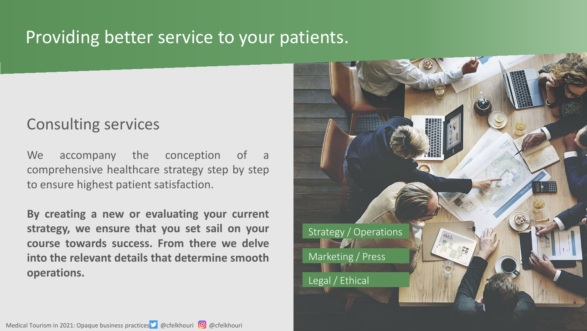### Providing better service to your patients.

#### Consulting services

We accompany the conception of a comprehensive healthcare strategy step by step to ensure highest patient satisfaction.

**By creating a new or evaluating your current strategy, we ensure that you set sail on your course towards success. From there we delve into the relevant details that determine smooth operations.**

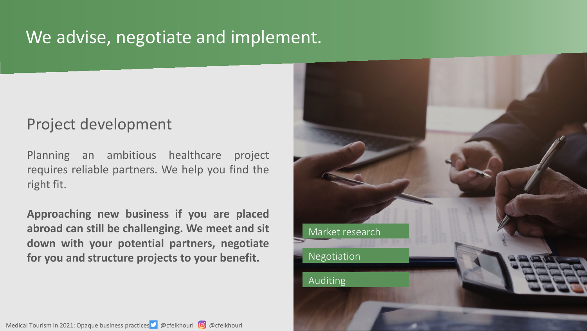## We advise, negotiate and implement.

#### Project development

Planning an ambitious healthcare project requires reliable partners. We help you find the right fit.

**Approaching new business if you are placed abroad can still be challenging. We meet and sit down with your potential partners, negotiate for you and structure projects to your benefit.**

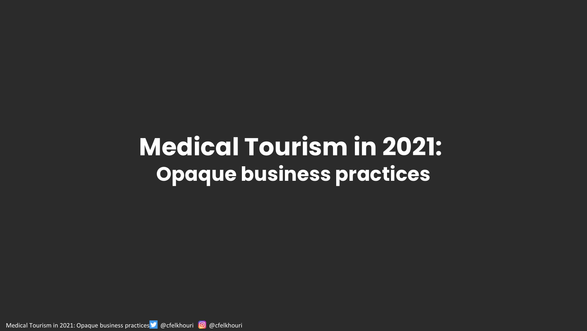# **Medical Tourism in 2021: Opaque business practices**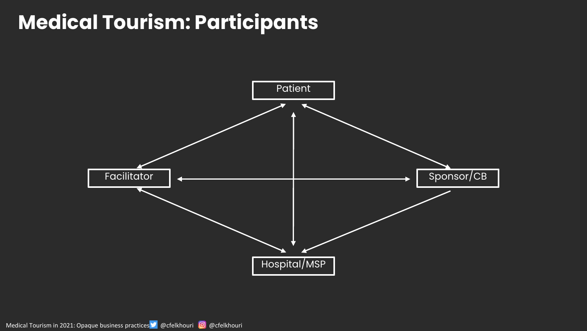## **Medical Tourism: Participants**

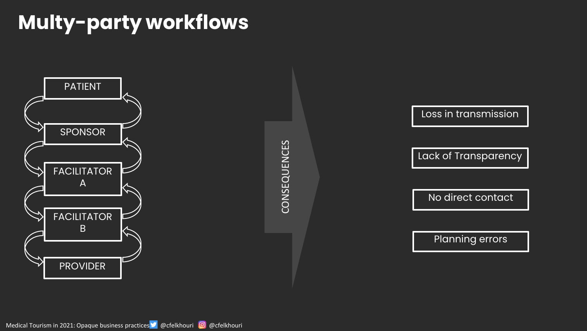## **Multy-party workflows**



CONSEQUENCES CONSEQUENCES

Loss in transmission

Lack of Transparency

No direct contact

Planning errors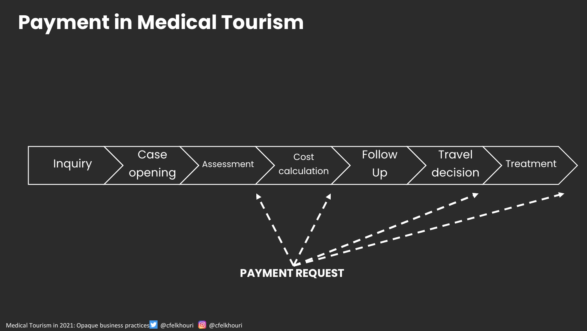## **Payment in Medical Tourism**

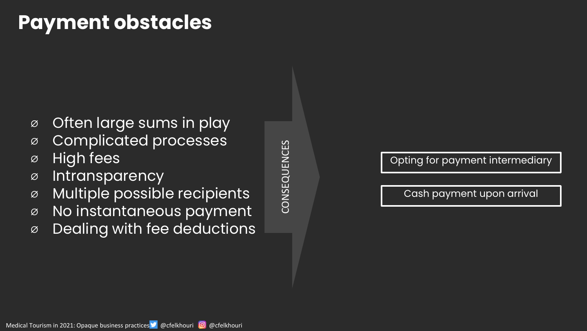## **Payment obstacles**

- ⌀ Often large sums in play
- ⌀ Complicated processes
- ⌀ High fees
- ⌀ Intransparency
- ⌀ Multiple possible recipients
- ⌀ No instantaneous payment
- ⌀ Dealing with fee deductions

CONSEQUENCES CONSEQUENCES

Opting for payment intermediary

Cash payment upon arrival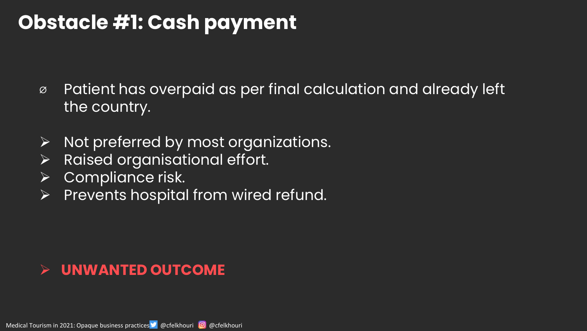## **Obstacle #1: Cash payment**

- ⌀ Patient has overpaid as per final calculation and already left the country.
- $\triangleright$  Not preferred by most organizations.
- $\triangleright$  Raised organisational effort.
- $\triangleright$  Compliance risk.
- $\triangleright$  Prevents hospital from wired refund.

#### **UNWANTED OUTCOME**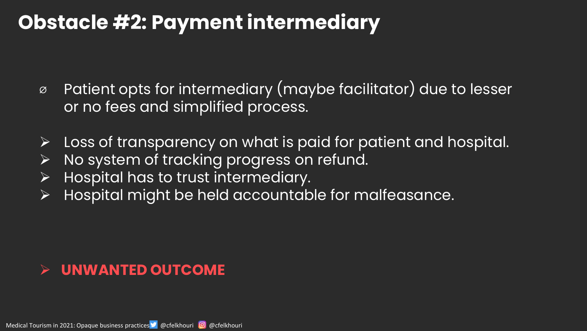## **Obstacle #2: Payment intermediary**

- ⌀ Patient opts for intermediary (maybe facilitator) due to lesser or no fees and simplified process.
- $\triangleright$  Loss of transparency on what is paid for patient and hospital.
- $\triangleright$  No system of tracking progress on refund.
- $\triangleright$  Hospital has to trust intermediary.
- $\triangleright$  Hospital might be held accountable for malfeasance.

#### **UNWANTED OUTCOME**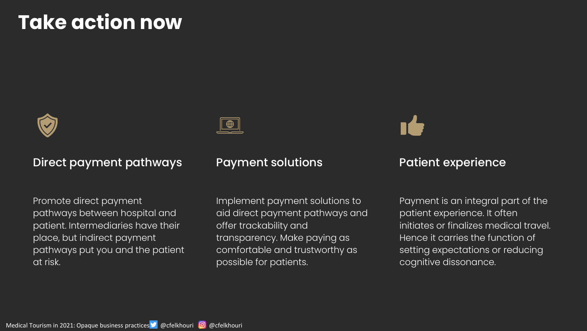## **Take action now**



#### Direct payment pathways

Promote direct payment pathways between hospital and patient. Intermediaries have their place, but indirect payment pathways put you and the patient at risk.

#### Payment solutions

Implement payment solutions to aid direct payment pathways and offer trackability and transparency. Make paying as comfortable and trustworthy as possible for patients.

#### Patient experience

Payment is an integral part of the patient experience. It often initiates or finalizes medical travel. Hence it carries the function of setting expectations or reducing cognitive dissonance.